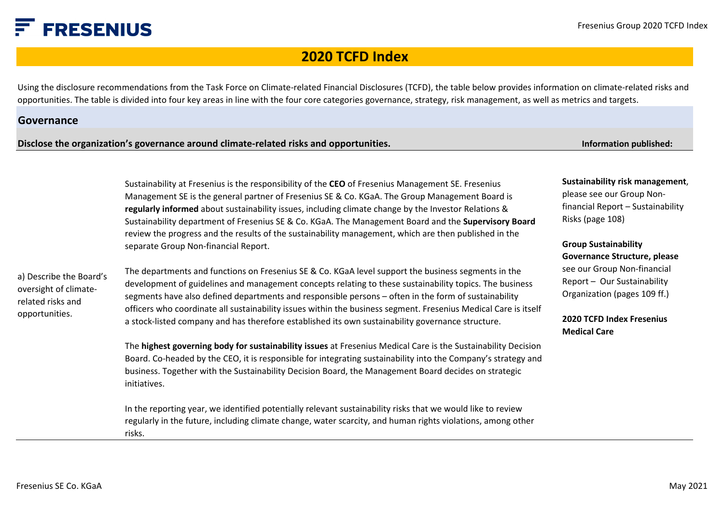### **FRESENIUS**

### **2020 TCFD Index**

Using the disclosure recommendations from the Task Force on Climate-related Financial Disclosures (TCFD), the table below provides information on climate-related risks and opportunities. The table is divided into four key areas in line with the four core categories governance, strategy, risk management, as well as metrics and targets.

#### **Governance**

**Disclose the organization's governance around climate-related risks and opportunities.**

**Information published:**

Sustainability at Fresenius is the responsibility of the **CEO** of Fresenius Management SE. Fresenius Management SE is the general partner of Fresenius SE & Co. KGaA. The Group Management Board is **regularly informed** about sustainability issues, including climate change by the Investor Relations & Sustainability department of Fresenius SE & Co. KGaA. The Management Board and the **Supervisory Board**  review the progress and the results of the sustainability management, which are then published in the separate Group Non-financial Report.

a) Describe the Board's oversight of climaterelated risks and opportunities.

The departments and functions on Fresenius SE & Co. KGaA level support the business segments in the development of guidelines and management concepts relating to these sustainability topics. The business segments have also defined departments and responsible persons – often in the form of sustainability officers who coordinate all sustainability issues within the business segment. Fresenius Medical Care is itself a stock-listed company and has therefore established its own sustainability governance structure.

The **highest governing body for sustainability issues** at Fresenius Medical Care is the Sustainability Decision Board. Co-headed by the CEO, it is responsible for integrating sustainability into the Company's strategy and business. Together with the Sustainability Decision Board, the Management Board decides on strategic initiatives.

In the reporting year, we identified potentially relevant sustainability risks that we would like to review regularly in the future, including climate change, water scarcity, and human rights violations, among other risks.

**[Sustainability risk management](https://www.fresenius.com/financial_reporting/Fresenius_Annual_Report_2020.pdf)**, please see our Group Nonfinancial Report – Sustainability Risks (page 108)

**Group Sustainability [Governance Structure](https://www.fresenius.com/financial_reporting/Fresenius_Annual_Report_2020.pdf), please**  see our Group Non-financial Report – Our Sustainability Organization (pages 109 ff.)

**[2020 TCFD Index Fresenius](https://www.freseniusmedicalcare.com/en/tcfd/) Medical Care**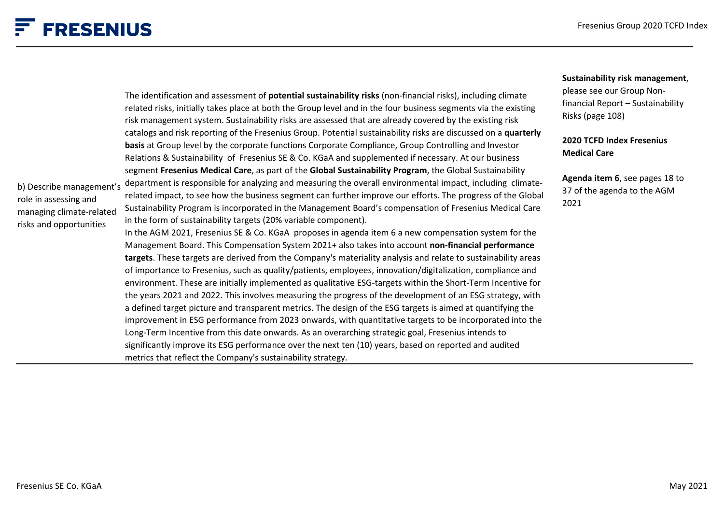**[Sustainability risk management](https://www.fresenius.com/financial_reporting/Fresenius_Annual_Report_2020.pdf)**,

## $F$  FRESENIUS

|                                                                                                          | The identification and assessment of potential sustainability risks (non-financial risks), including climate<br>related risks, initially takes place at both the Group level and in the four business segments via the existing<br>risk management system. Sustainability risks are assessed that are already covered by the existing risk                                                                                                                                                                                                                                                                                                                                                                                                                                                                                                                                                                                                                                                                                                                                                                                                                                                                                                                                                                                                                                                                                                                                                                                                                                                                                           | please see our Group Non-<br>financial Report - Sustainability<br>Risks (page 108) |
|----------------------------------------------------------------------------------------------------------|--------------------------------------------------------------------------------------------------------------------------------------------------------------------------------------------------------------------------------------------------------------------------------------------------------------------------------------------------------------------------------------------------------------------------------------------------------------------------------------------------------------------------------------------------------------------------------------------------------------------------------------------------------------------------------------------------------------------------------------------------------------------------------------------------------------------------------------------------------------------------------------------------------------------------------------------------------------------------------------------------------------------------------------------------------------------------------------------------------------------------------------------------------------------------------------------------------------------------------------------------------------------------------------------------------------------------------------------------------------------------------------------------------------------------------------------------------------------------------------------------------------------------------------------------------------------------------------------------------------------------------------|------------------------------------------------------------------------------------|
|                                                                                                          | catalogs and risk reporting of the Fresenius Group. Potential sustainability risks are discussed on a quarterly<br>basis at Group level by the corporate functions Corporate Compliance, Group Controlling and Investor<br>Relations & Sustainability of Fresenius SE & Co. KGaA and supplemented if necessary. At our business                                                                                                                                                                                                                                                                                                                                                                                                                                                                                                                                                                                                                                                                                                                                                                                                                                                                                                                                                                                                                                                                                                                                                                                                                                                                                                      | <b>2020 TCFD Index Fresenius</b><br><b>Medical Care</b>                            |
| b) Describe management's<br>role in assessing and<br>managing climate-related<br>risks and opportunities | segment Fresenius Medical Care, as part of the Global Sustainability Program, the Global Sustainability<br>department is responsible for analyzing and measuring the overall environmental impact, including climate-<br>related impact, to see how the business segment can further improve our efforts. The progress of the Global<br>Sustainability Program is incorporated in the Management Board's compensation of Fresenius Medical Care<br>in the form of sustainability targets (20% variable component).<br>In the AGM 2021, Fresenius SE & Co. KGaA proposes in agenda item 6 a new compensation system for the<br>Management Board. This Compensation System 2021+ also takes into account non-financial performance<br>targets. These targets are derived from the Company's materiality analysis and relate to sustainability areas<br>of importance to Fresenius, such as quality/patients, employees, innovation/digitalization, compliance and<br>environment. These are initially implemented as qualitative ESG-targets within the Short-Term Incentive for<br>the years 2021 and 2022. This involves measuring the progress of the development of an ESG strategy, with<br>a defined target picture and transparent metrics. The design of the ESG targets is aimed at quantifying the<br>improvement in ESG performance from 2023 onwards, with quantitative targets to be incorporated into the<br>Long-Term Incentive from this date onwards. As an overarching strategic goal, Fresenius intends to<br>significantly improve its ESG performance over the next ten (10) years, based on reported and audited | Agenda item 6, see pages 18 to<br>37 of the agenda to the AGM<br>2021              |
|                                                                                                          | metrics that reflect the Company's sustainability strategy.                                                                                                                                                                                                                                                                                                                                                                                                                                                                                                                                                                                                                                                                                                                                                                                                                                                                                                                                                                                                                                                                                                                                                                                                                                                                                                                                                                                                                                                                                                                                                                          |                                                                                    |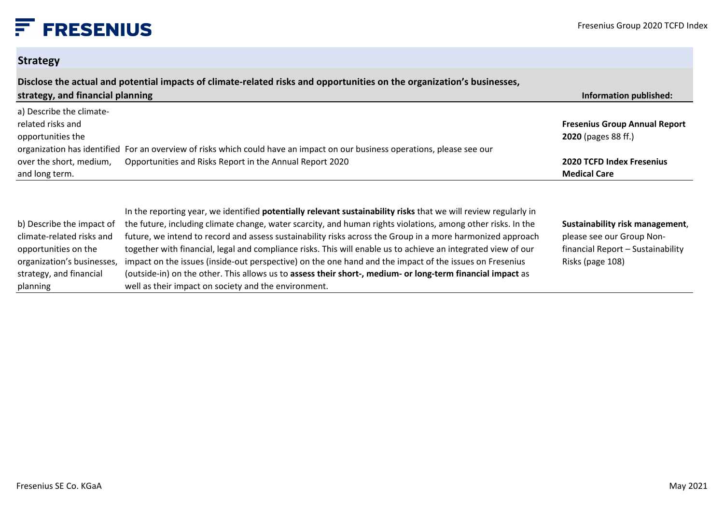#### **Strategy**

planning

| Disclose the actual and potential impacts of climate-related risks and opportunities on the organization's businesses,<br>strategy, and financial planning<br>Information published: |                                                                                                                                                                                                                                                                                                                                                                                                                                                                                                                                                                                                                                                                                                |                                                                                                                       |  |
|--------------------------------------------------------------------------------------------------------------------------------------------------------------------------------------|------------------------------------------------------------------------------------------------------------------------------------------------------------------------------------------------------------------------------------------------------------------------------------------------------------------------------------------------------------------------------------------------------------------------------------------------------------------------------------------------------------------------------------------------------------------------------------------------------------------------------------------------------------------------------------------------|-----------------------------------------------------------------------------------------------------------------------|--|
| a) Describe the climate-<br>related risks and<br>opportunities the                                                                                                                   |                                                                                                                                                                                                                                                                                                                                                                                                                                                                                                                                                                                                                                                                                                | <b>Fresenius Group Annual Report</b><br>2020 (pages 88 ff.)                                                           |  |
| over the short, medium,<br>and long term.                                                                                                                                            | organization has identified For an overview of risks which could have an impact on our business operations, please see our<br>Opportunities and Risks Report in the Annual Report 2020                                                                                                                                                                                                                                                                                                                                                                                                                                                                                                         | <b>2020 TCFD Index Fresenius</b><br><b>Medical Care</b>                                                               |  |
| b) Describe the impact of<br>climate-related risks and<br>opportunities on the<br>organization's businesses,<br>strategy, and financial                                              | In the reporting year, we identified <b>potentially relevant sustainability risks</b> that we will review regularly in<br>the future, including climate change, water scarcity, and human rights violations, among other risks. In the<br>future, we intend to record and assess sustainability risks across the Group in a more harmonized approach<br>together with financial, legal and compliance risks. This will enable us to achieve an integrated view of our<br>impact on the issues (inside-out perspective) on the one hand and the impact of the issues on Fresenius<br>(outside-in) on the other. This allows us to assess their short-, medium- or long-term financial impact as | Sustainability risk management,<br>please see our Group Non-<br>financial Report - Sustainability<br>Risks (page 108) |  |

well as their impact on society and the environment.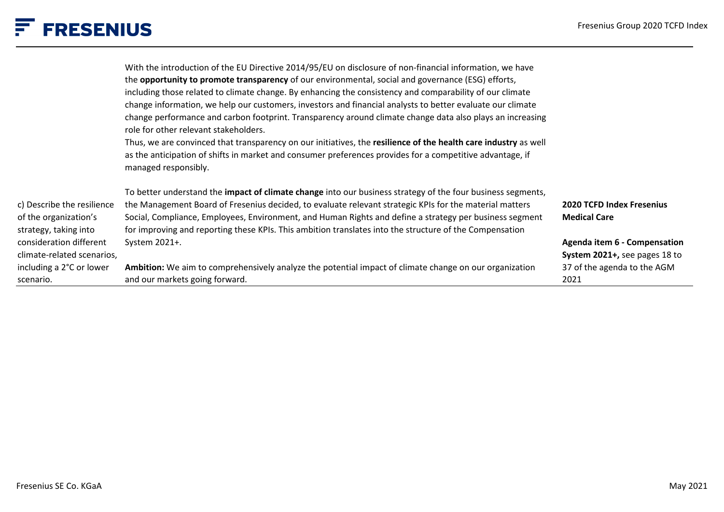|                                                | With the introduction of the EU Directive 2014/95/EU on disclosure of non-financial information, we have                                                                                                                                             |                                     |
|------------------------------------------------|------------------------------------------------------------------------------------------------------------------------------------------------------------------------------------------------------------------------------------------------------|-------------------------------------|
|                                                | the <b>opportunity to promote transparency</b> of our environmental, social and governance (ESG) efforts,                                                                                                                                            |                                     |
|                                                | including those related to climate change. By enhancing the consistency and comparability of our climate                                                                                                                                             |                                     |
|                                                | change information, we help our customers, investors and financial analysts to better evaluate our climate                                                                                                                                           |                                     |
|                                                | change performance and carbon footprint. Transparency around climate change data also plays an increasing<br>role for other relevant stakeholders.                                                                                                   |                                     |
|                                                | Thus, we are convinced that transparency on our initiatives, the resilience of the health care industry as well<br>as the anticipation of shifts in market and consumer preferences provides for a competitive advantage, if<br>managed responsibly. |                                     |
|                                                | To better understand the <i>impact of climate change</i> into our business strategy of the four business segments,                                                                                                                                   |                                     |
| c) Describe the resilience                     | the Management Board of Fresenius decided, to evaluate relevant strategic KPIs for the material matters                                                                                                                                              | <b>2020 TCFD Index Fresenius</b>    |
| of the organization's<br>strategy, taking into | Social, Compliance, Employees, Environment, and Human Rights and define a strategy per business segment<br>for improving and reporting these KPIs. This ambition translates into the structure of the Compensation                                   | <b>Medical Care</b>                 |
| consideration different                        | System 2021+.                                                                                                                                                                                                                                        | <b>Agenda item 6 - Compensation</b> |
| climate-related scenarios,                     |                                                                                                                                                                                                                                                      | System 2021+, see pages 18 to       |
| including a 2°C or lower                       | Ambition: We aim to comprehensively analyze the potential impact of climate change on our organization                                                                                                                                               | 37 of the agenda to the AGM         |
| scenario.                                      | and our markets going forward.                                                                                                                                                                                                                       | 2021                                |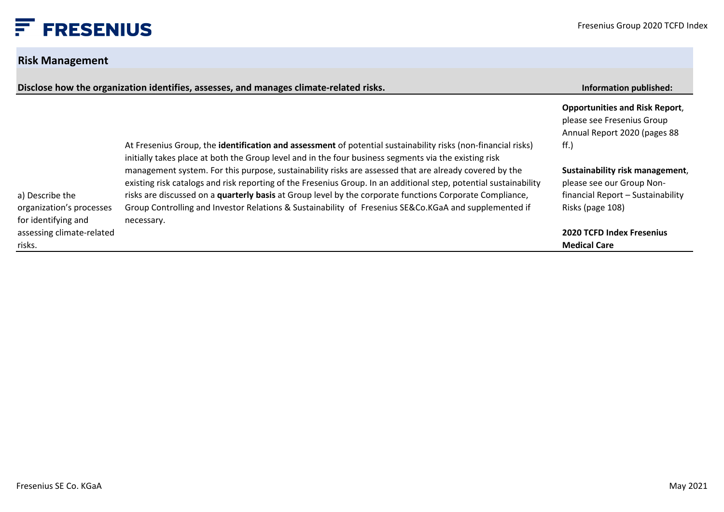### **Risk Management**

| Disclose how the organization identifies, assesses, and manages climate-related risks. |                                                                                                                                                                                                                               | <b>Information published:</b>                                                                       |
|----------------------------------------------------------------------------------------|-------------------------------------------------------------------------------------------------------------------------------------------------------------------------------------------------------------------------------|-----------------------------------------------------------------------------------------------------|
|                                                                                        |                                                                                                                                                                                                                               | <b>Opportunities and Risk Report,</b><br>please see Fresenius Group<br>Annual Report 2020 (pages 88 |
|                                                                                        | At Fresenius Group, the identification and assessment of potential sustainability risks (non-financial risks)<br>initially takes place at both the Group level and in the four business segments via the existing risk        | $\mathsf{ff.}$                                                                                      |
|                                                                                        | management system. For this purpose, sustainability risks are assessed that are already covered by the                                                                                                                        | Sustainability risk management,                                                                     |
| a) Describe the                                                                        | existing risk catalogs and risk reporting of the Fresenius Group. In an additional step, potential sustainability<br>risks are discussed on a quarterly basis at Group level by the corporate functions Corporate Compliance, | please see our Group Non-<br>financial Report - Sustainability                                      |
| organization's processes<br>for identifying and                                        | Group Controlling and Investor Relations & Sustainability of Fresenius SE&Co.KGaA and supplemented if<br>necessary.                                                                                                           | Risks (page 108)                                                                                    |
| assessing climate-related                                                              |                                                                                                                                                                                                                               | <b>2020 TCFD Index Fresenius</b>                                                                    |
| risks.                                                                                 |                                                                                                                                                                                                                               | <b>Medical Care</b>                                                                                 |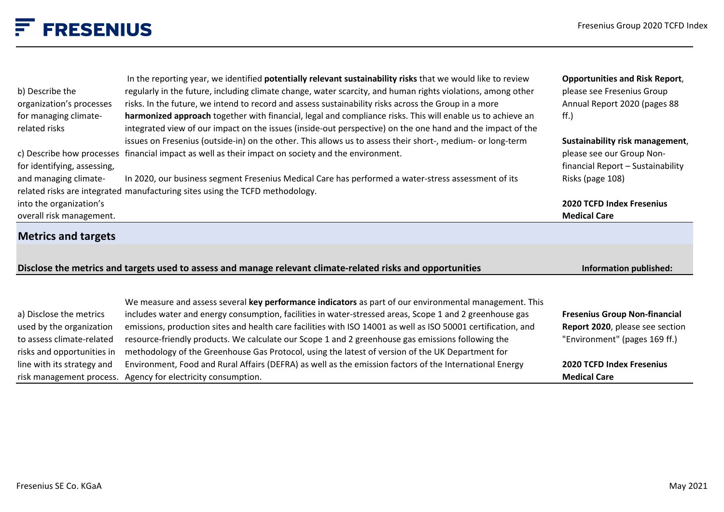| b) Describe the<br>organization's processes<br>for managing climate-<br>related risks | In the reporting year, we identified potentially relevant sustainability risks that we would like to review<br>regularly in the future, including climate change, water scarcity, and human rights violations, among other<br>risks. In the future, we intend to record and assess sustainability risks across the Group in a more<br>harmonized approach together with financial, legal and compliance risks. This will enable us to achieve an<br>integrated view of our impact on the issues (inside-out perspective) on the one hand and the impact of the<br>issues on Fresenius (outside-in) on the other. This allows us to assess their short-, medium- or long-term<br>c) Describe how processes financial impact as well as their impact on society and the environment. | <b>Opportunities and Risk Report,</b><br>please see Fresenius Group<br>Annual Report 2020 (pages 88<br>$\mathsf{ff.}$<br>Sustainability risk management,<br>please see our Group Non- |
|---------------------------------------------------------------------------------------|------------------------------------------------------------------------------------------------------------------------------------------------------------------------------------------------------------------------------------------------------------------------------------------------------------------------------------------------------------------------------------------------------------------------------------------------------------------------------------------------------------------------------------------------------------------------------------------------------------------------------------------------------------------------------------------------------------------------------------------------------------------------------------|---------------------------------------------------------------------------------------------------------------------------------------------------------------------------------------|
| for identifying, assessing,                                                           |                                                                                                                                                                                                                                                                                                                                                                                                                                                                                                                                                                                                                                                                                                                                                                                    | financial Report - Sustainability                                                                                                                                                     |
| and managing climate-                                                                 | In 2020, our business segment Fresenius Medical Care has performed a water-stress assessment of its<br>related risks are integrated manufacturing sites using the TCFD methodology.                                                                                                                                                                                                                                                                                                                                                                                                                                                                                                                                                                                                | Risks (page 108)                                                                                                                                                                      |
| into the organization's                                                               |                                                                                                                                                                                                                                                                                                                                                                                                                                                                                                                                                                                                                                                                                                                                                                                    | <b>2020 TCFD Index Fresenius</b>                                                                                                                                                      |
| overall risk management.                                                              |                                                                                                                                                                                                                                                                                                                                                                                                                                                                                                                                                                                                                                                                                                                                                                                    | <b>Medical Care</b>                                                                                                                                                                   |
| <b>Metrics and targets</b>                                                            |                                                                                                                                                                                                                                                                                                                                                                                                                                                                                                                                                                                                                                                                                                                                                                                    |                                                                                                                                                                                       |
|                                                                                       | Disclose the metrics and targets used to assess and manage relevant climate-related risks and opportunities                                                                                                                                                                                                                                                                                                                                                                                                                                                                                                                                                                                                                                                                        | Information published:                                                                                                                                                                |
|                                                                                       | We measure and assess several key performance indicators as part of our environmental management. This                                                                                                                                                                                                                                                                                                                                                                                                                                                                                                                                                                                                                                                                             |                                                                                                                                                                                       |
| a) Disclose the metrics                                                               | includes water and energy consumption, facilities in water-stressed areas, Scope 1 and 2 greenhouse gas                                                                                                                                                                                                                                                                                                                                                                                                                                                                                                                                                                                                                                                                            | <b>Fresenius Group Non-financial</b>                                                                                                                                                  |
| used by the organization                                                              | emissions, production sites and health care facilities with ISO 14001 as well as ISO 50001 certification, and                                                                                                                                                                                                                                                                                                                                                                                                                                                                                                                                                                                                                                                                      | Report 2020, please see section                                                                                                                                                       |
| to assess climate-related<br>risks and opportunities in                               | resource-friendly products. We calculate our Scope 1 and 2 greenhouse gas emissions following the<br>methodology of the Greenhouse Gas Protocol, using the latest of version of the UK Department for                                                                                                                                                                                                                                                                                                                                                                                                                                                                                                                                                                              | "Environment" (pages 169 ff.)                                                                                                                                                         |
| line with its strategy and                                                            | Environment, Food and Rural Affairs (DEFRA) as well as the emission factors of the International Energy                                                                                                                                                                                                                                                                                                                                                                                                                                                                                                                                                                                                                                                                            | <b>2020 TCFD Index Fresenius</b>                                                                                                                                                      |

risk management process. Agency for electricity consumption.

**Medical Care**